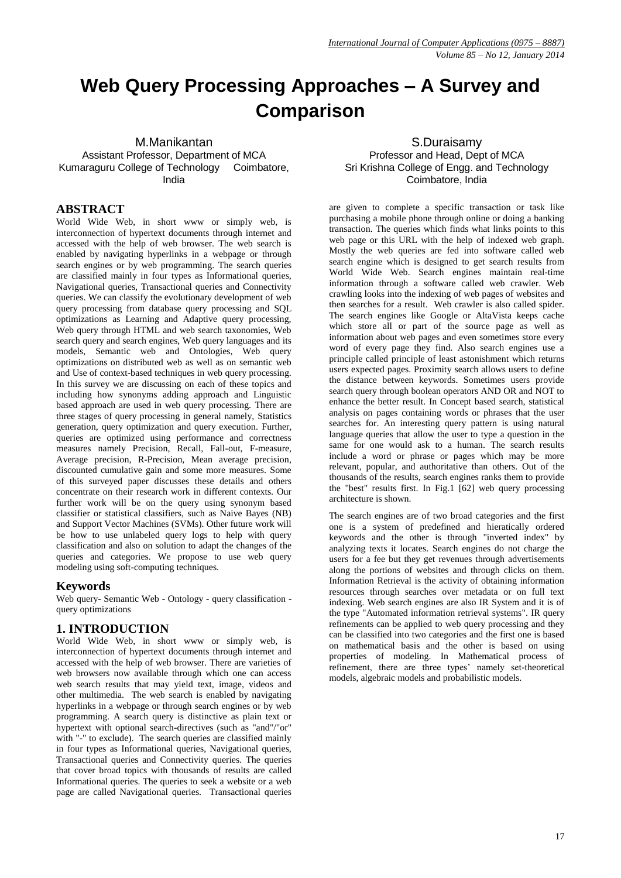# **Web Query Processing Approaches – A Survey and Comparison**

M.Manikantan Assistant Professor, Department of MCA Kumaraguru College of Technology Coimbatore, India

# **ABSTRACT**

World Wide Web, in short www or simply web, is interconnection of hypertext documents through internet and accessed with the help of web browser. The web search is enabled by navigating hyperlinks in a webpage or through search engines or by web programming. The search queries are classified mainly in four types as Informational queries, Navigational queries, Transactional queries and Connectivity queries. We can classify the evolutionary development of web query processing from database query processing and SQL optimizations as Learning and Adaptive query processing, Web query through HTML and web search taxonomies, Web search query and search engines, Web query languages and its models, Semantic web and Ontologies, Web query optimizations on distributed web as well as on semantic web and Use of context-based techniques in web query processing. In this survey we are discussing on each of these topics and including how synonyms adding approach and Linguistic based approach are used in web query processing. There are three stages of query processing in general namely, Statistics generation, query optimization and query execution. Further, queries are optimized using performance and correctness measures namely Precision, Recall, Fall-out, F-measure, Average precision, R-Precision, Mean average precision, discounted cumulative gain and some more measures. Some of this surveyed paper discusses these details and others concentrate on their research work in different contexts. Our further work will be on the query using synonym based classifier or statistical classifiers, such as Naive Bayes (NB) and Support Vector Machines (SVMs). Other future work will be how to use unlabeled query logs to help with query classification and also on solution to adapt the changes of the queries and categories. We propose to use web query modeling using soft-computing techniques.

#### **Keywords**

Web query- Semantic Web - Ontology - query classification query optimizations

## **1. INTRODUCTION**

World Wide Web, in short www or simply web, is interconnection of hypertext documents through internet and accessed with the help of web browser. There are varieties of web browsers now available through which one can access web search results that may yield text, image, videos and other multimedia. The web search is enabled by navigating hyperlinks in a webpage or through search engines or by web programming. A search query is distinctive as plain text or hypertext with optional search-directives (such as "and"/"or" with "-" to exclude). The search queries are classified mainly in four types as Informational queries, Navigational queries, Transactional queries and Connectivity queries. The queries that cover broad topics with thousands of results are called Informational queries. The queries to seek a website or a web page are called Navigational queries. Transactional queries

S.Duraisamy Professor and Head, Dept of MCA Sri Krishna College of Engg. and Technology Coimbatore, India

are given to complete a specific transaction or task like purchasing a mobile phone through online or doing a banking transaction. The queries which finds what links points to this web page or this URL with the help of indexed web graph. Mostly the web queries are fed into software called web search engine which is designed to get search results from World Wide Web. Search engines maintain real-time information through a software called web crawler. Web crawling looks into the indexing of web pages of websites and then searches for a result. Web crawler is also called spider. The search engines like Google or AltaVista keeps cache which store all or part of the source page as well as information about web pages and even sometimes store every word of every page they find. Also search engines use a principle called principle of least astonishment which returns users expected pages. Proximity search allows users to define the distance between keywords. Sometimes users provide search query through boolean operators AND OR and NOT to enhance the better result. In Concept based search, statistical analysis on pages containing words or phrases that the user searches for. An interesting query pattern is using natural language queries that allow the user to type a question in the same for one would ask to a human. The search results include a word or phrase or pages which may be more relevant, popular, and authoritative than others. Out of the thousands of the results, search engines ranks them to provide the "best" results first. In Fig.1 [62] web query processing architecture is shown.

The search engines are of two broad categories and the first one is a system of predefined and hieratically ordered keywords and the other is through "inverted index" by analyzing texts it locates. Search engines do not charge the users for a fee but they get revenues through advertisements along the portions of websites and through clicks on them. Information Retrieval is the activity of obtaining information resources through searches over metadata or on full text indexing. Web search engines are also IR System and it is of the type "Automated information retrieval systems". IR query refinements can be applied to web query processing and they can be classified into two categories and the first one is based on mathematical basis and the other is based on using properties of modeling. In Mathematical process of refinement, there are three types' namely set-theoretical models, algebraic models and probabilistic models.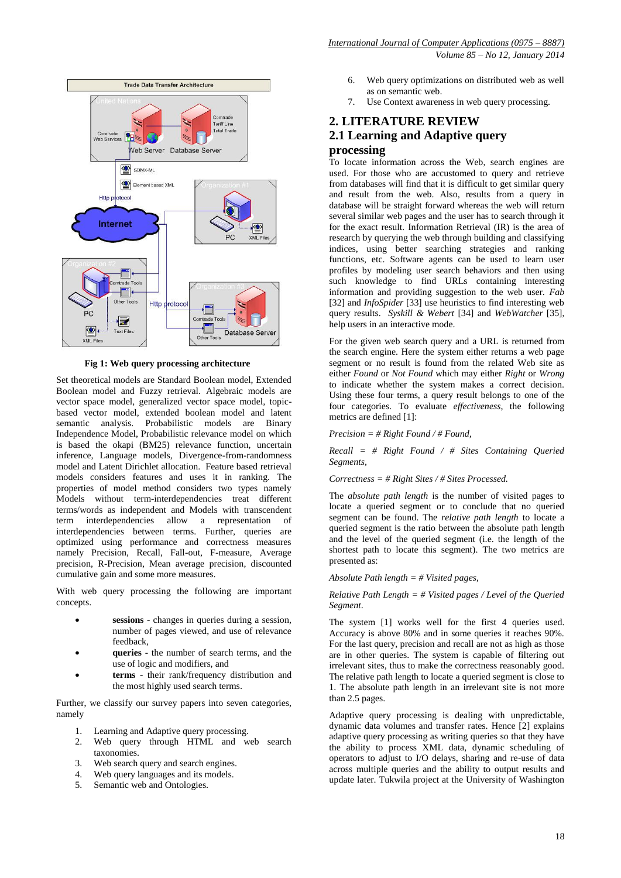

#### **Fig 1: Web query processing architecture**

Set theoretical models are Standard Boolean model, Extended Boolean model and Fuzzy retrieval. Algebraic models are vector space model, generalized vector space model, topicbased vector model, extended boolean model and latent semantic analysis. Probabilistic models are Binary Independence Model, Probabilistic relevance model on which is based the okapi (BM25) relevance function, uncertain inference, Language models, Divergence-from-randomness model and Latent Dirichlet allocation. Feature based retrieval models considers features and uses it in ranking. The properties of model method considers two types namely Models without term-interdependencies treat different terms/words as independent and Models with transcendent term interdependencies allow a representation of interdependencies between terms. Further, queries are optimized using performance and correctness measures namely Precision, Recall, Fall-out, F-measure, Average precision, R-Precision, Mean average precision, discounted cumulative gain and some more measures.

With web query processing the following are important concepts.

- **sessions**  changes in queries during a session, number of pages viewed, and use of relevance feedback,
- **queries**  the number of search terms, and the use of logic and modifiers, and
- **terms**  their rank/frequency distribution and the most highly used search terms.

Further, we classify our survey papers into seven categories, namely

- 1. Learning and Adaptive query processing.
- 2. Web query through HTML and web search taxonomies.
- 3. Web search query and search engines.
- 4. Web query languages and its models.
- 5. Semantic web and Ontologies.

 *Volume 85 – No 12, January 2014*

- 6. Web query optimizations on distributed web as well as on semantic web.
- 7. Use Context awareness in web query processing.

# **2. LITERATURE REVIEW 2.1 Learning and Adaptive query processing**

To locate information across the Web, search engines are used. For those who are accustomed to query and retrieve from databases will find that it is difficult to get similar query and result from the web. Also, results from a query in database will be straight forward whereas the web will return several similar web pages and the user has to search through it for the exact result. Information Retrieval (IR) is the area of research by querying the web through building and classifying indices, using better searching strategies and ranking functions, etc. Software agents can be used to learn user profiles by modeling user search behaviors and then using such knowledge to find URLs containing interesting information and providing suggestion to the web user. *Fab*  [32] and *InfoSpider* [33] use heuristics to find interesting web query results. *Syskill & Webert* [34] and *WebWatcher* [35], help users in an interactive mode.

For the given web search query and a URL is returned from the search engine. Here the system either returns a web page segment or no result is found from the related Web site as either *Found* or *Not Found* which may either *Right* or *Wrong*  to indicate whether the system makes a correct decision. Using these four terms, a query result belongs to one of the four categories. To evaluate *effectiveness*, the following metrics are defined [1]:

#### *Precision = # Right Found / # Found,*

*Recall = # Right Found / # Sites Containing Queried Segments,*

*Correctness = # Right Sites / # Sites Processed.* 

The *absolute path length* is the number of visited pages to locate a queried segment or to conclude that no queried segment can be found. The *relative path length* to locate a queried segment is the ratio between the absolute path length and the level of the queried segment (i.e. the length of the shortest path to locate this segment). The two metrics are presented as:

#### *Absolute Path length = # Visited pages,*

#### *Relative Path Length = # Visited pages / Level of the Queried Segment*.

The system [1] works well for the first 4 queries used. Accuracy is above 80% and in some queries it reaches 90%. For the last query, precision and recall are not as high as those are in other queries. The system is capable of filtering out irrelevant sites, thus to make the correctness reasonably good. The relative path length to locate a queried segment is close to 1. The absolute path length in an irrelevant site is not more than 2.5 pages.

Adaptive query processing is dealing with unpredictable, dynamic data volumes and transfer rates. Hence [2] explains adaptive query processing as writing queries so that they have the ability to process XML data, dynamic scheduling of operators to adjust to I/O delays, sharing and re-use of data across multiple queries and the ability to output results and update later. Tukwila project at the University of Washington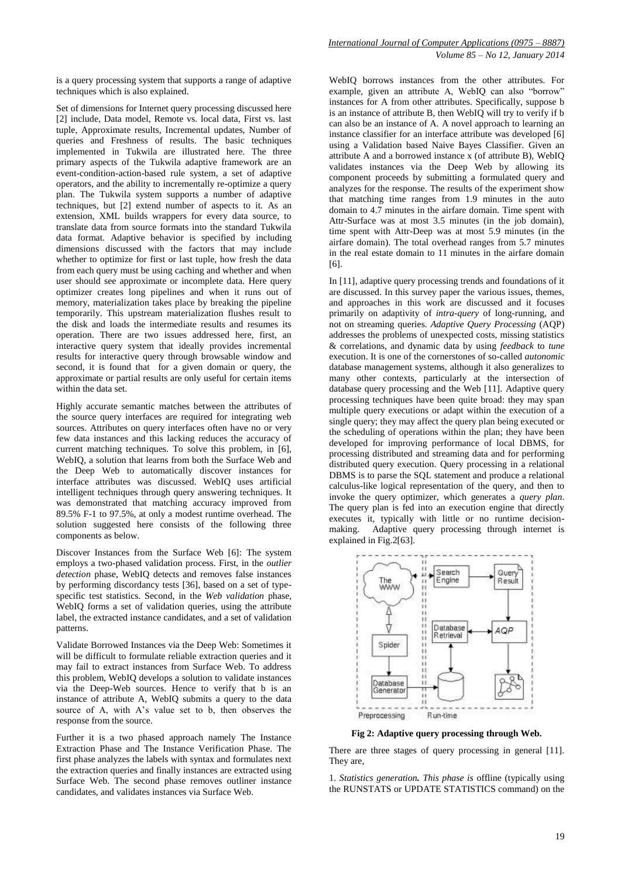is a query processing system that supports a range of adaptive techniques which is also explained.

Set of dimensions for Internet query processing discussed here [2] include, Data model, Remote vs. local data, First vs. last tuple, Approximate results, Incremental updates, Number of queries and Freshness of results. The basic techniques implemented in Tukwila are illustrated here. The three primary aspects of the Tukwila adaptive framework are an event-condition-action-based rule system, a set of adaptive operators, and the ability to incrementally re-optimize a query plan. The Tukwila system supports a number of adaptive techniques, but [2] extend number of aspects to it. As an extension, XML builds wrappers for every data source, to translate data from source formats into the standard Tukwila data format. Adaptive behavior is specified by including dimensions discussed with the factors that may include whether to optimize for first or last tuple, how fresh the data from each query must be using caching and whether and when user should see approximate or incomplete data. Here query optimizer creates long pipelines and when it runs out of memory, materialization takes place by breaking the pipeline temporarily. This upstream materialization flushes result to the disk and loads the intermediate results and resumes its operation. There are two issues addressed here, first, an interactive query system that ideally provides incremental results for interactive query through browsable window and second, it is found that for a given domain or query, the approximate or partial results are only useful for certain items within the data set.

Highly accurate semantic matches between the attributes of the source query interfaces are required for integrating web sources. Attributes on query interfaces often have no or very few data instances and this lacking reduces the accuracy of current matching techniques. To solve this problem, in [6], WebIQ, a solution that learns from both the Surface Web and the Deep Web to automatically discover instances for interface attributes was discussed. WebIQ uses artificial intelligent techniques through query answering techniques. It was demonstrated that matching accuracy improved from 89.5% F-1 to 97.5%, at only a modest runtime overhead. The solution suggested here consists of the following three components as below.

Discover Instances from the Surface Web [6]: The system employs a two-phased validation process. First, in the *outlier detection* phase, WebIQ detects and removes false instances by performing discordancy tests [36], based on a set of typespecific test statistics. Second, in the *Web validation* phase, WebIQ forms a set of validation queries, using the attribute label, the extracted instance candidates, and a set of validation patterns.

Validate Borrowed Instances via the Deep Web: Sometimes it will be difficult to formulate reliable extraction queries and it may fail to extract instances from Surface Web. To address this problem, WebIQ develops a solution to validate instances via the Deep-Web sources. Hence to verify that b is an instance of attribute A, WebIQ submits a query to the data source of A, with A's value set to b, then observes the response from the source.

Further it is a two phased approach namely The Instance Extraction Phase and The Instance Verification Phase. The first phase analyzes the labels with syntax and formulates next the extraction queries and finally instances are extracted using Surface Web. The second phase removes outliner instance candidates, and validates instances via Surface Web.

WebIQ borrows instances from the other attributes. For example, given an attribute A, WebIQ can also "borrow" instances for A from other attributes. Specifically, suppose b is an instance of attribute B, then WebIQ will try to verify if b can also be an instance of A. A novel approach to learning an instance classifier for an interface attribute was developed [6] using a Validation based Naive Bayes Classifier. Given an attribute A and a borrowed instance x (of attribute B), WebIQ validates instances via the Deep Web by allowing its component proceeds by submitting a formulated query and analyzes for the response. The results of the experiment show that matching time ranges from 1.9 minutes in the auto domain to 4.7 minutes in the airfare domain. Time spent with Attr-Surface was at most 3.5 minutes (in the job domain), time spent with Attr-Deep was at most 5.9 minutes (in the airfare domain). The total overhead ranges from 5.7 minutes in the real estate domain to 11 minutes in the airfare domain [6].

In [11], adaptive query processing trends and foundations of it are discussed. In this survey paper the various issues, themes, and approaches in this work are discussed and it focuses primarily on adaptivity of *intra-query* of long-running, and not on streaming queries. *Adaptive Query Processing* (AQP) addresses the problems of unexpected costs, missing statistics & correlations, and dynamic data by using *feedback* to *tune*  execution. It is one of the cornerstones of so-called *autonomic*  database management systems, although it also generalizes to many other contexts, particularly at the intersection of database query processing and the Web [11]. Adaptive query processing techniques have been quite broad: they may span multiple query executions or adapt within the execution of a single query; they may affect the query plan being executed or the scheduling of operations within the plan; they have been developed for improving performance of local DBMS, for processing distributed and streaming data and for performing distributed query execution. Query processing in a relational DBMS is to parse the SQL statement and produce a relational calculus-like logical representation of the query, and then to invoke the query optimizer, which generates a *query plan*. The query plan is fed into an execution engine that directly executes it, typically with little or no runtime decisionmaking. Adaptive query processing through internet is explained in Fig.2[63].



**Fig 2: Adaptive query processing through Web.**

There are three stages of query processing in general [11]. They are,

1. *Statistics generation. This phase is* offline (typically using the RUNSTATS or UPDATE STATISTICS command) on the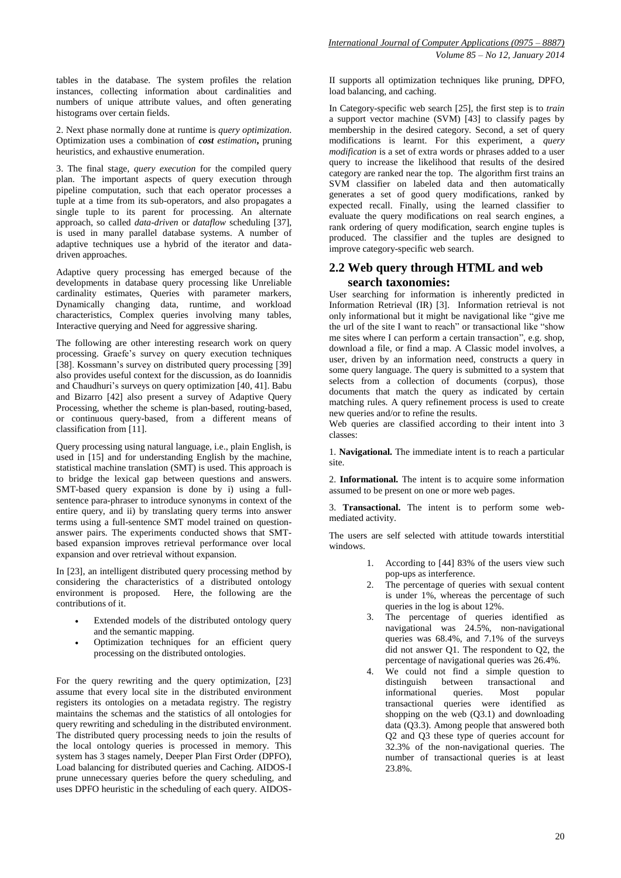tables in the database. The system profiles the relation instances, collecting information about cardinalities and numbers of unique attribute values, and often generating histograms over certain fields.

2. Next phase normally done at runtime is *query optimization*. Optimization uses a combination of *cost estimation***,** pruning heuristics, and exhaustive enumeration.

3. The final stage, *query execution* for the compiled query plan. The important aspects of query execution through pipeline computation, such that each operator processes a tuple at a time from its sub-operators, and also propagates a single tuple to its parent for processing. An alternate approach, so called *data-driven* or *dataflow* scheduling [37], is used in many parallel database systems. A number of adaptive techniques use a hybrid of the iterator and datadriven approaches.

Adaptive query processing has emerged because of the developments in database query processing like Unreliable cardinality estimates, Queries with parameter markers, Dynamically changing data, runtime, and workload characteristics, Complex queries involving many tables, Interactive querying and Need for aggressive sharing.

The following are other interesting research work on query processing. Graefe's survey on query execution techniques [38]. Kossmann's survey on distributed query processing [39] also provides useful context for the discussion, as do Ioannidis and Chaudhuri's surveys on query optimization [40, 41]. Babu and Bizarro [42] also present a survey of Adaptive Query Processing, whether the scheme is plan-based, routing-based, or continuous query-based, from a different means of classification from [11].

Query processing using natural language, i.e., plain English, is used in [15] and for understanding English by the machine, statistical machine translation (SMT) is used. This approach is to bridge the lexical gap between questions and answers. SMT-based query expansion is done by i) using a fullsentence para-phraser to introduce synonyms in context of the entire query, and ii) by translating query terms into answer terms using a full-sentence SMT model trained on questionanswer pairs. The experiments conducted shows that SMTbased expansion improves retrieval performance over local expansion and over retrieval without expansion.

In [23], an intelligent distributed query processing method by considering the characteristics of a distributed ontology environment is proposed. Here, the following are the contributions of it.

- Extended models of the distributed ontology query and the semantic mapping.
- Optimization techniques for an efficient query processing on the distributed ontologies.

For the query rewriting and the query optimization, [23] assume that every local site in the distributed environment registers its ontologies on a metadata registry. The registry maintains the schemas and the statistics of all ontologies for query rewriting and scheduling in the distributed environment. The distributed query processing needs to join the results of the local ontology queries is processed in memory. This system has 3 stages namely, Deeper Plan First Order (DPFO), Load balancing for distributed queries and Caching. AIDOS-I prune unnecessary queries before the query scheduling, and uses DPFO heuristic in the scheduling of each query. AIDOS-

II supports all optimization techniques like pruning, DPFO, load balancing, and caching.

In Category-specific web search [25], the first step is to *train* a support vector machine (SVM) [43] to classify pages by membership in the desired category. Second, a set of query modifications is learnt. For this experiment, a *query modification* is a set of extra words or phrases added to a user query to increase the likelihood that results of the desired category are ranked near the top. The algorithm first trains an SVM classifier on labeled data and then automatically generates a set of good query modifications, ranked by expected recall. Finally, using the learned classifier to evaluate the query modifications on real search engines, a rank ordering of query modification, search engine tuples is produced. The classifier and the tuples are designed to improve category-specific web search.

# **2.2 Web query through HTML and web search taxonomies:**

User searching for information is inherently predicted in Information Retrieval (IR) [3]. Information retrieval is not only informational but it might be navigational like "give me the url of the site I want to reach" or transactional like "show me sites where I can perform a certain transaction", e.g. shop, download a file, or find a map. A Classic model involves, a user, driven by an information need, constructs a query in some query language. The query is submitted to a system that selects from a collection of documents (corpus), those documents that match the query as indicated by certain matching rules. A query refinement process is used to create new queries and/or to refine the results.

Web queries are classified according to their intent into 3 classes:

1. **Navigational.** The immediate intent is to reach a particular site.

2. **Informational.** The intent is to acquire some information assumed to be present on one or more web pages.

3. **Transactional.** The intent is to perform some webmediated activity.

The users are self selected with attitude towards interstitial windows.

- 1. According to [44] 83% of the users view such pop-ups as interference.
- 2. The percentage of queries with sexual content is under 1%, whereas the percentage of such queries in the log is about 12%.
- 3. The percentage of queries identified as navigational was 24.5%, non-navigational queries was 68.4%, and 7.1% of the surveys did not answer Q1. The respondent to Q2, the percentage of navigational queries was 26.4%.
- 4. We could not find a simple question to distinguish between transactional and between transactional and informational queries. Most popular transactional queries were identified as shopping on the web  $(O3.1)$  and downloading data (Q3.3). Among people that answered both Q2 and Q3 these type of queries account for 32.3% of the non-navigational queries. The number of transactional queries is at least 23.8%.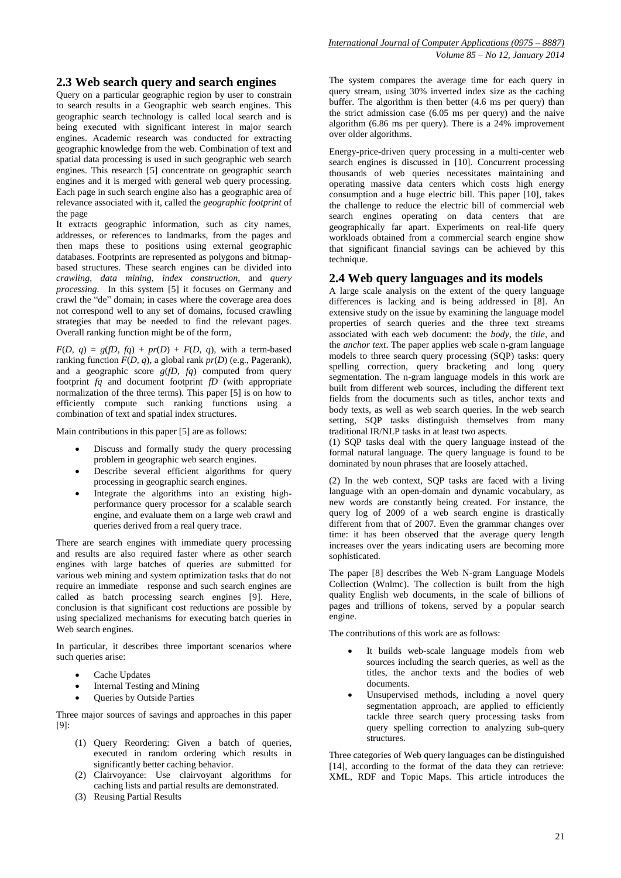# **2.3 Web search query and search engines**

Query on a particular geographic region by user to constrain to search results in a Geographic web search engines. This geographic search technology is called local search and is being executed with significant interest in major search engines. Academic research was conducted for extracting geographic knowledge from the web. Combination of text and spatial data processing is used in such geographic web search engines. This research [5] concentrate on geographic search engines and it is merged with general web query processing. Each page in such search engine also has a geographic area of relevance associated with it, called the *geographic footprint* of the page

It extracts geographic information, such as city names, addresses, or references to landmarks, from the pages and then maps these to positions using external geographic databases. Footprints are represented as polygons and bitmapbased structures. These search engines can be divided into *crawling*, *data mining*, *index construction*, and *query processing.* In this system [5] it focuses on Germany and crawl the "de" domain; in cases where the coverage area does not correspond well to any set of domains, focused crawling strategies that may be needed to find the relevant pages. Overall ranking function might be of the form,

 $F(D, q) = g(fD, fq) + pr(D) + F(D, q)$ , with a term-based ranking function  $F(D, q)$ , a global rank  $pr(D)$  (e.g., Pagerank), and a geographic score *g*(*fD, fq*) computed from query footprint *fq* and document footprint *fD* (with appropriate normalization of the three terms). This paper [5] is on how to efficiently compute such ranking functions using a combination of text and spatial index structures.

Main contributions in this paper [5] are as follows:

- Discuss and formally study the query processing problem in geographic web search engines.
- Describe several efficient algorithms for query processing in geographic search engines.
- Integrate the algorithms into an existing highperformance query processor for a scalable search engine, and evaluate them on a large web crawl and queries derived from a real query trace.

There are search engines with immediate query processing and results are also required faster where as other search engines with large batches of queries are submitted for various web mining and system optimization tasks that do not require an immediate response and such search engines are called as batch processing search engines [9]. Here, conclusion is that significant cost reductions are possible by using specialized mechanisms for executing batch queries in Web search engines.

In particular, it describes three important scenarios where such queries arise:

- Cache Updates
- Internal Testing and Mining
- Queries by Outside Parties

Three major sources of savings and approaches in this paper [9]:

- (1) Query Reordering: Given a batch of queries, executed in random ordering which results in significantly better caching behavior.
- (2) Clairvoyance: Use clairvoyant algorithms for caching lists and partial results are demonstrated.
- (3) Reusing Partial Results

The system compares the average time for each query in query stream, using 30% inverted index size as the caching buffer. The algorithm is then better (4.6 ms per query) than the strict admission case (6.05 ms per query) and the naive algorithm (6.86 ms per query). There is a 24% improvement over older algorithms.

Energy-price-driven query processing in a multi-center web search engines is discussed in [10]. Concurrent processing thousands of web queries necessitates maintaining and operating massive data centers which costs high energy consumption and a huge electric bill. This paper [10], takes the challenge to reduce the electric bill of commercial web search engines operating on data centers that are geographically far apart. Experiments on real-life query workloads obtained from a commercial search engine show that significant financial savings can be achieved by this technique.

# **2.4 Web query languages and its models**

A large scale analysis on the extent of the query language differences is lacking and is being addressed in [8]. An extensive study on the issue by examining the language model properties of search queries and the three text streams associated with each web document: the *body*, the *title*, and the *anchor text*. The paper applies web scale n-gram language models to three search query processing (SQP) tasks: query spelling correction, query bracketing and long query segmentation. The n-gram language models in this work are built from different web sources, including the different text fields from the documents such as titles, anchor texts and body texts, as well as web search queries. In the web search setting, SQP tasks distinguish themselves from many traditional IR/NLP tasks in at least two aspects.

(1) SQP tasks deal with the query language instead of the formal natural language. The query language is found to be dominated by noun phrases that are loosely attached.

(2) In the web context, SQP tasks are faced with a living language with an open-domain and dynamic vocabulary, as new words are constantly being created. For instance, the query log of 2009 of a web search engine is drastically different from that of 2007. Even the grammar changes over time: it has been observed that the average query length increases over the years indicating users are becoming more sophisticated.

The paper [8] describes the Web N-gram Language Models Collection (Wnlmc). The collection is built from the high quality English web documents, in the scale of billions of pages and trillions of tokens, served by a popular search engine.

The contributions of this work are as follows:

- It builds web-scale language models from web sources including the search queries, as well as the titles, the anchor texts and the bodies of web documents.
- Unsupervised methods, including a novel query segmentation approach, are applied to efficiently tackle three search query processing tasks from query spelling correction to analyzing sub-query structures.

Three categories of Web query languages can be distinguished [14], according to the format of the data they can retrieve: XML, RDF and Topic Maps. This article introduces the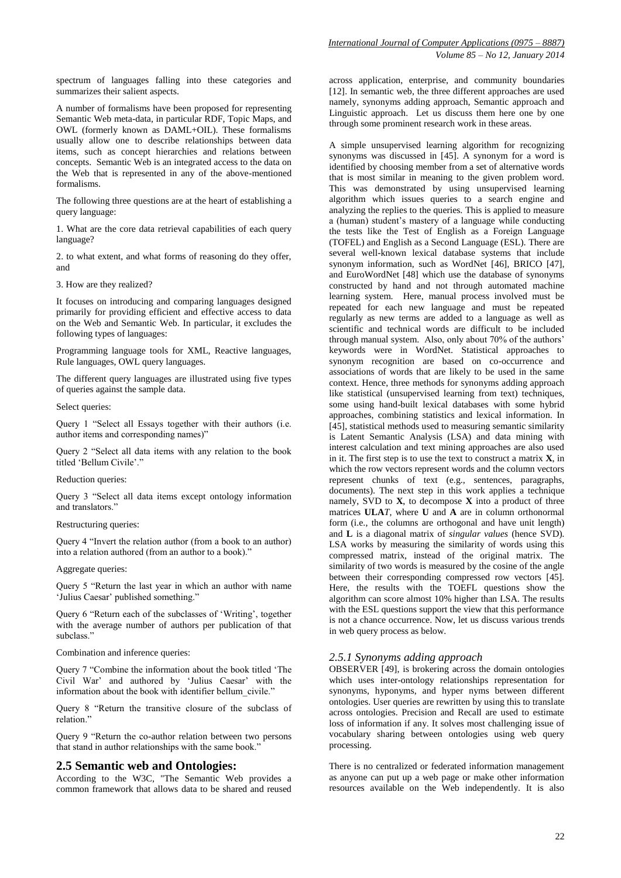spectrum of languages falling into these categories and summarizes their salient aspects.

A number of formalisms have been proposed for representing Semantic Web meta-data, in particular RDF, Topic Maps, and OWL (formerly known as DAML+OIL). These formalisms usually allow one to describe relationships between data items, such as concept hierarchies and relations between concepts. Semantic Web is an integrated access to the data on the Web that is represented in any of the above-mentioned formalisms.

The following three questions are at the heart of establishing a query language:

1. What are the core data retrieval capabilities of each query language?

2. to what extent, and what forms of reasoning do they offer, and

3. How are they realized?

It focuses on introducing and comparing languages designed primarily for providing efficient and effective access to data on the Web and Semantic Web. In particular, it excludes the following types of languages:

Programming language tools for XML, Reactive languages, Rule languages, OWL query languages.

The different query languages are illustrated using five types of queries against the sample data.

Select queries:

Query 1 "Select all Essays together with their authors (i.e. author items and corresponding names)"

Query 2 "Select all data items with any relation to the book titled 'Bellum Civile'.'

#### Reduction queries:

Query 3 "Select all data items except ontology information and translators."

#### Restructuring queries:

Query 4 "Invert the relation author (from a book to an author) into a relation authored (from an author to a book)."

#### Aggregate queries:

Query 5 "Return the last year in which an author with name 'Julius Caesar' published something."

Query 6 "Return each of the subclasses of 'Writing', together with the average number of authors per publication of that subclass."

Combination and inference queries:

Query 7 "Combine the information about the book titled 'The Civil War' and authored by 'Julius Caesar' with the information about the book with identifier bellum\_civile."

Query 8 "Return the transitive closure of the subclass of relation."

Query 9 "Return the co-author relation between two persons that stand in author relationships with the same book.'

#### **2.5 Semantic web and Ontologies:**

According to the W3C, "The Semantic Web provides a common framework that allows data to be shared and reused

across application, enterprise, and community boundaries [12]. In semantic web, the three different approaches are used namely, synonyms adding approach, Semantic approach and Linguistic approach. Let us discuss them here one by one through some prominent research work in these areas.

A simple unsupervised learning algorithm for recognizing synonyms was discussed in [45]. A synonym for a word is identified by choosing member from a set of alternative words that is most similar in meaning to the given problem word. This was demonstrated by using unsupervised learning algorithm which issues queries to a search engine and analyzing the replies to the queries. This is applied to measure a (human) student's mastery of a language while conducting the tests like the Test of English as a Foreign Language (TOFEL) and English as a Second Language (ESL). There are several well-known lexical database systems that include synonym information, such as WordNet [46], BRICO [47], and EuroWordNet [48] which use the database of synonyms constructed by hand and not through automated machine learning system. Here, manual process involved must be repeated for each new language and must be repeated regularly as new terms are added to a language as well as scientific and technical words are difficult to be included through manual system. Also, only about 70% of the authors' keywords were in WordNet. Statistical approaches to synonym recognition are based on co-occurrence and associations of words that are likely to be used in the same context. Hence, three methods for synonyms adding approach like statistical (unsupervised learning from text) techniques, some using hand-built lexical databases with some hybrid approaches, combining statistics and lexical information. In [45], statistical methods used to measuring semantic similarity is Latent Semantic Analysis (LSA) and data mining with interest calculation and text mining approaches are also used in it. The first step is to use the text to construct a matrix **X**, in which the row vectors represent words and the column vectors represent chunks of text (e.g., sentences, paragraphs, documents). The next step in this work applies a technique namely, SVD to **X**, to decompose **X** into a product of three matrices **ULA***T*, where **U** and **A** are in column orthonormal form (i.e., the columns are orthogonal and have unit length) and **L** is a diagonal matrix of *singular values* (hence SVD). LSA works by measuring the similarity of words using this compressed matrix, instead of the original matrix. The similarity of two words is measured by the cosine of the angle between their corresponding compressed row vectors [45]. Here, the results with the TOEFL questions show the algorithm can score almost 10% higher than LSA. The results with the ESL questions support the view that this performance is not a chance occurrence. Now, let us discuss various trends in web query process as below.

#### *2.5.1 Synonyms adding approach*

OBSERVER [49], is brokering across the domain ontologies which uses inter-ontology relationships representation for synonyms, hyponyms, and hyper nyms between different ontologies. User queries are rewritten by using this to translate across ontologies. Precision and Recall are used to estimate loss of information if any. It solves most challenging issue of vocabulary sharing between ontologies using web query processing.

There is no centralized or federated information management as anyone can put up a web page or make other information resources available on the Web independently. It is also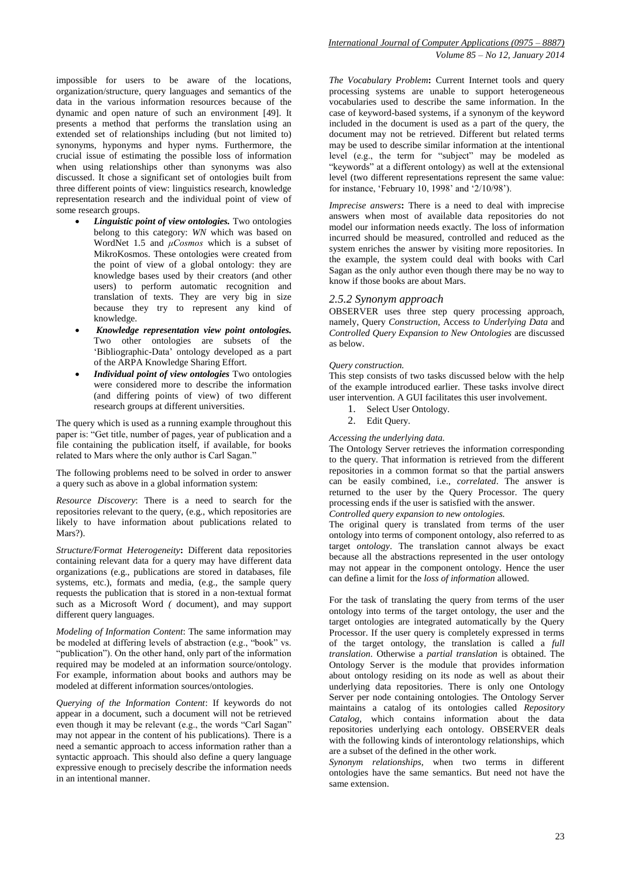impossible for users to be aware of the locations, organization/structure, query languages and semantics of the data in the various information resources because of the dynamic and open nature of such an environment [49]. It presents a method that performs the translation using an extended set of relationships including (but not limited to) synonyms, hyponyms and hyper nyms. Furthermore, the crucial issue of estimating the possible loss of information when using relationships other than synonyms was also discussed. It chose a significant set of ontologies built from three different points of view: linguistics research, knowledge representation research and the individual point of view of some research groups.

- *Linguistic point of view ontologies.* Two ontologies belong to this category: *WN* which was based on WordNet 1.5 and *μCosmos* which is a subset of MikroKosmos. These ontologies were created from the point of view of a global ontology: they are knowledge bases used by their creators (and other users) to perform automatic recognition and translation of texts. They are very big in size because they try to represent any kind of knowledge.
- *Knowledge representation view point ontologies.* Two other ontologies are subsets of the 'Bibliographic-Data' ontology developed as a part of the ARPA Knowledge Sharing Effort.
- *Individual point of view ontologies* Two ontologies were considered more to describe the information (and differing points of view) of two different research groups at different universities.

The query which is used as a running example throughout this paper is: "Get title, number of pages, year of publication and a file containing the publication itself, if available, for books related to Mars where the only author is Carl Sagan."

The following problems need to be solved in order to answer a query such as above in a global information system:

*Resource Discovery*: There is a need to search for the repositories relevant to the query, (e.g., which repositories are likely to have information about publications related to Mars?).

*Structure/Format Heterogeneity***:** Different data repositories containing relevant data for a query may have different data organizations (e.g., publications are stored in databases, file systems, etc.), formats and media, (e.g., the sample query requests the publication that is stored in a non-textual format such as a Microsoft Word *(* document), and may support different query languages.

*Modeling of Information Content*: The same information may be modeled at differing levels of abstraction (e.g., "book" vs. "publication"). On the other hand, only part of the information required may be modeled at an information source/ontology. For example, information about books and authors may be modeled at different information sources/ontologies.

*Querying of the Information Content*: If keywords do not appear in a document, such a document will not be retrieved even though it may be relevant (e.g., the words "Carl Sagan" may not appear in the content of his publications). There is a need a semantic approach to access information rather than a syntactic approach. This should also define a query language expressive enough to precisely describe the information needs in an intentional manner.

*The Vocabulary Problem***:** Current Internet tools and query processing systems are unable to support heterogeneous vocabularies used to describe the same information. In the case of keyword-based systems, if a synonym of the keyword included in the document is used as a part of the query, the document may not be retrieved. Different but related terms may be used to describe similar information at the intentional level (e.g., the term for "subject" may be modeled as "keywords" at a different ontology) as well at the extensional level (two different representations represent the same value: for instance, 'February 10, 1998' and '2/10/98').

*Imprecise answers***:** There is a need to deal with imprecise answers when most of available data repositories do not model our information needs exactly. The loss of information incurred should be measured, controlled and reduced as the system enriches the answer by visiting more repositories. In the example, the system could deal with books with Carl Sagan as the only author even though there may be no way to know if those books are about Mars.

#### *2.5.2 Synonym approach*

OBSERVER uses three step query processing approach, namely, Query *Construction,* Access *to Underlying Data* and *Controlled Query Expansion to New Ontologies* are discussed as below.

#### *Query construction.*

This step consists of two tasks discussed below with the help of the example introduced earlier. These tasks involve direct user intervention. A GUI facilitates this user involvement.

- 1. Select User Ontology.
- 2. Edit Query.

*Accessing the underlying data.*

The Ontology Server retrieves the information corresponding to the query. That information is retrieved from the different repositories in a common format so that the partial answers can be easily combined, i.e., *correlated*. The answer is returned to the user by the Query Processor. The query processing ends if the user is satisfied with the answer.

*Controlled query expansion to new ontologies.*

The original query is translated from terms of the user ontology into terms of component ontology, also referred to as target *ontology*. The translation cannot always be exact because all the abstractions represented in the user ontology may not appear in the component ontology. Hence the user can define a limit for the *loss of information* allowed.

For the task of translating the query from terms of the user ontology into terms of the target ontology, the user and the target ontologies are integrated automatically by the Query Processor. If the user query is completely expressed in terms of the target ontology, the translation is called a *full translation*. Otherwise a *partial translation* is obtained. The Ontology Server is the module that provides information about ontology residing on its node as well as about their underlying data repositories. There is only one Ontology Server per node containing ontologies. The Ontology Server maintains a catalog of its ontologies called *Repository Catalog*, which contains information about the data repositories underlying each ontology. OBSERVER deals with the following kinds of interontology relationships, which are a subset of the defined in the other work.

*Synonym relationships*, when two terms in different ontologies have the same semantics. But need not have the same extension.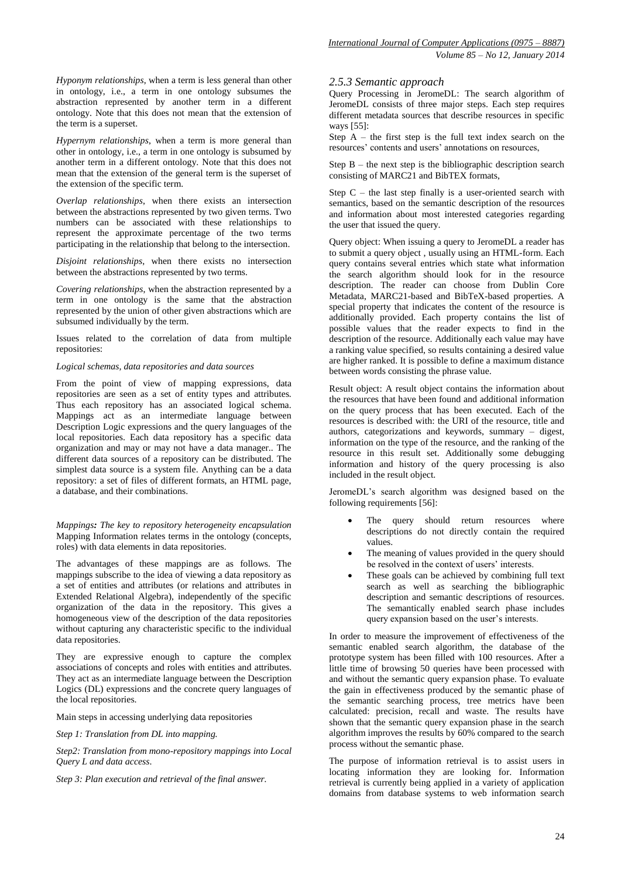*Hyponym relationships*, when a term is less general than other in ontology, i.e., a term in one ontology subsumes the abstraction represented by another term in a different ontology. Note that this does not mean that the extension of the term is a superset.

*Hypernym relationships*, when a term is more general than other in ontology, i.e., a term in one ontology is subsumed by another term in a different ontology. Note that this does not mean that the extension of the general term is the superset of the extension of the specific term.

*Overlap relationships*, when there exists an intersection between the abstractions represented by two given terms. Two numbers can be associated with these relationships to represent the approximate percentage of the two terms participating in the relationship that belong to the intersection.

*Disjoint relationships*, when there exists no intersection between the abstractions represented by two terms.

*Covering relationships*, when the abstraction represented by a term in one ontology is the same that the abstraction represented by the union of other given abstractions which are subsumed individually by the term.

Issues related to the correlation of data from multiple repositories:

#### *Logical schemas, data repositories and data sources*

From the point of view of mapping expressions, data repositories are seen as a set of entity types and attributes. Thus each repository has an associated logical schema. Mappings act as an intermediate language between Description Logic expressions and the query languages of the local repositories. Each data repository has a specific data organization and may or may not have a data manager.. The different data sources of a repository can be distributed. The simplest data source is a system file. Anything can be a data repository: a set of files of different formats, an HTML page, a database, and their combinations.

*Mappings: The key to repository heterogeneity encapsulation*  Mapping Information relates terms in the ontology (concepts, roles) with data elements in data repositories.

The advantages of these mappings are as follows. The mappings subscribe to the idea of viewing a data repository as a set of entities and attributes (or relations and attributes in Extended Relational Algebra), independently of the specific organization of the data in the repository. This gives a homogeneous view of the description of the data repositories without capturing any characteristic specific to the individual data repositories.

They are expressive enough to capture the complex associations of concepts and roles with entities and attributes. They act as an intermediate language between the Description Logics (DL) expressions and the concrete query languages of the local repositories.

Main steps in accessing underlying data repositories

*Step 1: Translation from DL into mapping.*

*Step2: Translation from mono-repository mappings into Local Query L and data access*.

*Step 3: Plan execution and retrieval of the final answer.*

#### *2.5.3 Semantic approach*

Query Processing in JeromeDL: The search algorithm of JeromeDL consists of three major steps. Each step requires different metadata sources that describe resources in specific ways [55]:

Step  $A -$  the first step is the full text index search on the resources' contents and users' annotations on resources,

Step B – the next step is the bibliographic description search consisting of MARC21 and BibTEX formats,

Step  $C$  – the last step finally is a user-oriented search with semantics, based on the semantic description of the resources and information about most interested categories regarding the user that issued the query.

Query object: When issuing a query to JeromeDL a reader has to submit a query object , usually using an HTML-form. Each query contains several entries which state what information the search algorithm should look for in the resource description. The reader can choose from Dublin Core Metadata, MARC21-based and BibTeX-based properties. A special property that indicates the content of the resource is additionally provided. Each property contains the list of possible values that the reader expects to find in the description of the resource. Additionally each value may have a ranking value specified, so results containing a desired value are higher ranked. It is possible to define a maximum distance between words consisting the phrase value.

Result object: A result object contains the information about the resources that have been found and additional information on the query process that has been executed. Each of the resources is described with: the URI of the resource, title and authors, categorizations and keywords, summary – digest, information on the type of the resource, and the ranking of the resource in this result set. Additionally some debugging information and history of the query processing is also included in the result object.

JeromeDL's search algorithm was designed based on the following requirements [56]:

- The query should return resources where descriptions do not directly contain the required values.
- The meaning of values provided in the query should be resolved in the context of users' interests.
- These goals can be achieved by combining full text search as well as searching the bibliographic description and semantic descriptions of resources. The semantically enabled search phase includes query expansion based on the user's interests.

In order to measure the improvement of effectiveness of the semantic enabled search algorithm, the database of the prototype system has been filled with 100 resources. After a little time of browsing 50 queries have been processed with and without the semantic query expansion phase. To evaluate the gain in effectiveness produced by the semantic phase of the semantic searching process, tree metrics have been calculated: precision, recall and waste. The results have shown that the semantic query expansion phase in the search algorithm improves the results by 60% compared to the search process without the semantic phase.

The purpose of information retrieval is to assist users in locating information they are looking for. Information retrieval is currently being applied in a variety of application domains from database systems to web information search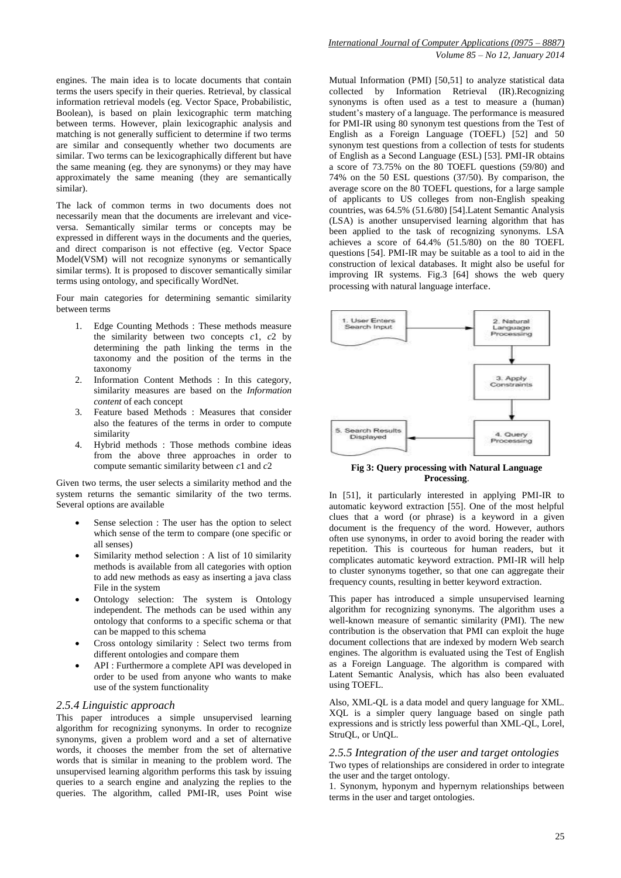engines. The main idea is to locate documents that contain terms the users specify in their queries. Retrieval, by classical information retrieval models (eg. Vector Space, Probabilistic, Boolean), is based on plain lexicographic term matching between terms. However, plain lexicographic analysis and matching is not generally sufficient to determine if two terms are similar and consequently whether two documents are similar. Two terms can be lexicographically different but have the same meaning (eg. they are synonyms) or they may have approximately the same meaning (they are semantically similar).

The lack of common terms in two documents does not necessarily mean that the documents are irrelevant and viceversa. Semantically similar terms or concepts may be expressed in different ways in the documents and the queries, and direct comparison is not effective (eg. Vector Space Model(VSM) will not recognize synonyms or semantically similar terms). It is proposed to discover semantically similar terms using ontology, and specifically WordNet.

Four main categories for determining semantic similarity between terms

- 1. Edge Counting Methods : These methods measure the similarity between two concepts *c*1, *c*2 by determining the path linking the terms in the taxonomy and the position of the terms in the taxonomy
- 2. Information Content Methods : In this category, similarity measures are based on the *Information content* of each concept
- 3. Feature based Methods : Measures that consider also the features of the terms in order to compute similarity
- 4. Hybrid methods : Those methods combine ideas from the above three approaches in order to compute semantic similarity between *c*1 and *c*2

Given two terms, the user selects a similarity method and the system returns the semantic similarity of the two terms. Several options are available

- Sense selection : The user has the option to select which sense of the term to compare (one specific or all senses)
- Similarity method selection : A list of 10 similarity methods is available from all categories with option to add new methods as easy as inserting a java class File in the system
- Ontology selection: The system is Ontology independent. The methods can be used within any ontology that conforms to a specific schema or that can be mapped to this schema
- Cross ontology similarity : Select two terms from different ontologies and compare them
- API : Furthermore a complete API was developed in order to be used from anyone who wants to make use of the system functionality

#### *2.5.4 Linguistic approach*

This paper introduces a simple unsupervised learning algorithm for recognizing synonyms. In order to recognize synonyms, given a problem word and a set of alternative words, it chooses the member from the set of alternative words that is similar in meaning to the problem word. The unsupervised learning algorithm performs this task by issuing queries to a search engine and analyzing the replies to the queries. The algorithm, called PMI-IR, uses Point wise

Mutual Information (PMI) [50,51] to analyze statistical data collected by Information Retrieval (IR).Recognizing synonyms is often used as a test to measure a (human) student's mastery of a language. The performance is measured for PMI-IR using 80 synonym test questions from the Test of English as a Foreign Language (TOEFL) [52] and 50 synonym test questions from a collection of tests for students of English as a Second Language (ESL) [53]. PMI-IR obtains a score of 73.75% on the 80 TOEFL questions (59/80) and 74% on the 50 ESL questions (37/50). By comparison, the average score on the 80 TOEFL questions, for a large sample of applicants to US colleges from non-English speaking countries, was 64.5% (51.6/80) [54].Latent Semantic Analysis (LSA) is another unsupervised learning algorithm that has been applied to the task of recognizing synonyms. LSA achieves a score of 64.4% (51.5/80) on the 80 TOEFL questions [54]. PMI-IR may be suitable as a tool to aid in the construction of lexical databases. It might also be useful for improving IR systems. Fig.3 [64] shows the web query processing with natural language interface.



**Fig 3: Query processing with Natural Language Processing**.

In [51], it particularly interested in applying PMI-IR to automatic keyword extraction [55]. One of the most helpful clues that a word (or phrase) is a keyword in a given document is the frequency of the word. However, authors often use synonyms, in order to avoid boring the reader with repetition. This is courteous for human readers, but it complicates automatic keyword extraction. PMI-IR will help to cluster synonyms together, so that one can aggregate their frequency counts, resulting in better keyword extraction.

This paper has introduced a simple unsupervised learning algorithm for recognizing synonyms. The algorithm uses a well-known measure of semantic similarity (PMI). The new contribution is the observation that PMI can exploit the huge document collections that are indexed by modern Web search engines. The algorithm is evaluated using the Test of English as a Foreign Language. The algorithm is compared with Latent Semantic Analysis, which has also been evaluated using TOEFL.

Also, XML-QL is a data model and query language for XML. XQL is a simpler query language based on single path expressions and is strictly less powerful than XML-QL, Lorel, StruQL, or UnQL.

#### *2.5.5 Integration of the user and target ontologies* Two types of relationships are considered in order to integrate the user and the target ontology.

1. Synonym, hyponym and hypernym relationships between terms in the user and target ontologies.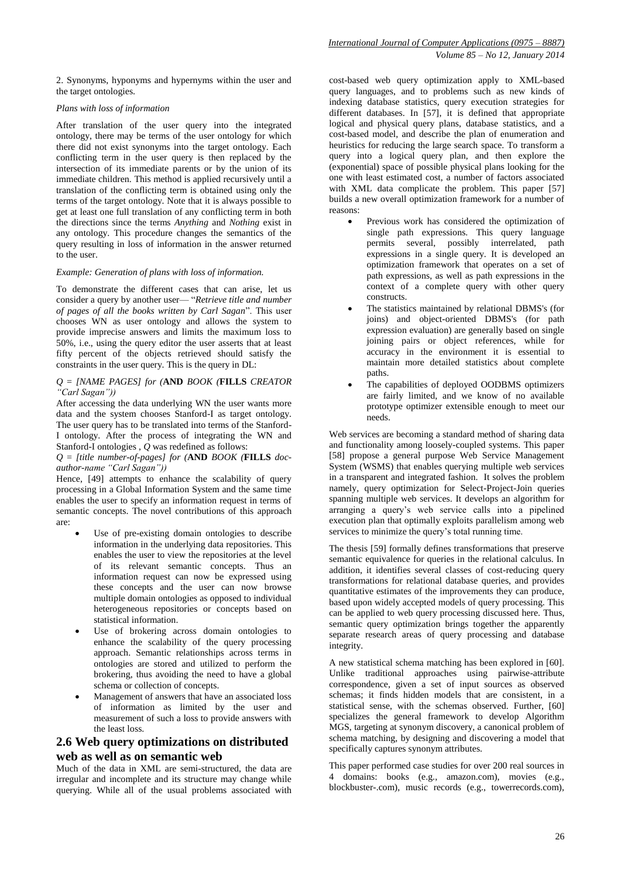2. Synonyms, hyponyms and hypernyms within the user and the target ontologies.

#### *Plans with loss of information*

After translation of the user query into the integrated ontology, there may be terms of the user ontology for which there did not exist synonyms into the target ontology. Each conflicting term in the user query is then replaced by the intersection of its immediate parents or by the union of its immediate children. This method is applied recursively until a translation of the conflicting term is obtained using only the terms of the target ontology. Note that it is always possible to get at least one full translation of any conflicting term in both the directions since the terms *Anything* and *Nothing* exist in any ontology. This procedure changes the semantics of the query resulting in loss of information in the answer returned to the user.

#### *Example: Generation of plans with loss of information.*

To demonstrate the different cases that can arise, let us consider a query by another user— "*Retrieve title and number of pages of all the books written by Carl Sagan*". This user chooses WN as user ontology and allows the system to provide imprecise answers and limits the maximum loss to 50%, i.e., using the query editor the user asserts that at least fifty percent of the objects retrieved should satisfy the constraints in the user query. This is the query in DL:

#### *Q* = *[NAME PAGES] for (***AND** *BOOK (***FILLS** *CREATOR "Carl Sagan"))*

After accessing the data underlying WN the user wants more data and the system chooses Stanford-I as target ontology. The user query has to be translated into terms of the Stanford-I ontology. After the process of integrating the WN and Stanford-I ontologies , *Q* was redefined as follows:

*Q* = *[title number-of-pages] for (***AND** *BOOK (***FILLS** *docauthor-name "Carl Sagan"))*

Hence, [49] attempts to enhance the scalability of query processing in a Global Information System and the same time enables the user to specify an information request in terms of semantic concepts. The novel contributions of this approach are:

- Use of pre-existing domain ontologies to describe information in the underlying data repositories. This enables the user to view the repositories at the level of its relevant semantic concepts. Thus an information request can now be expressed using these concepts and the user can now browse multiple domain ontologies as opposed to individual heterogeneous repositories or concepts based on statistical information.
- Use of brokering across domain ontologies to enhance the scalability of the query processing approach. Semantic relationships across terms in ontologies are stored and utilized to perform the brokering, thus avoiding the need to have a global schema or collection of concepts.
- Management of answers that have an associated loss of information as limited by the user and measurement of such a loss to provide answers with the least loss.

## **2.6 Web query optimizations on distributed web as well as on semantic web**

Much of the data in XML are semi-structured, the data are irregular and incomplete and its structure may change while querying. While all of the usual problems associated with

cost-based web query optimization apply to XML-based query languages, and to problems such as new kinds of indexing database statistics, query execution strategies for different databases. In [57], it is defined that appropriate logical and physical query plans, database statistics, and a cost-based model, and describe the plan of enumeration and heuristics for reducing the large search space. To transform a query into a logical query plan, and then explore the (exponential) space of possible physical plans looking for the one with least estimated cost, a number of factors associated with XML data complicate the problem. This paper [57] builds a new overall optimization framework for a number of reasons:

- Previous work has considered the optimization of single path expressions. This query language permits several, possibly interrelated, path expressions in a single query. It is developed an optimization framework that operates on a set of path expressions, as well as path expressions in the context of a complete query with other query constructs.
- The statistics maintained by relational DBMS's (for joins) and object-oriented DBMS's (for path expression evaluation) are generally based on single joining pairs or object references, while for accuracy in the environment it is essential to maintain more detailed statistics about complete paths.
- The capabilities of deployed OODBMS optimizers are fairly limited, and we know of no available prototype optimizer extensible enough to meet our needs.

Web services are becoming a standard method of sharing data and functionality among loosely-coupled systems. This paper [58] propose a general purpose Web Service Management System (WSMS) that enables querying multiple web services in a transparent and integrated fashion. It solves the problem namely, query optimization for Select-Project-Join queries spanning multiple web services. It develops an algorithm for arranging a query's web service calls into a pipelined execution plan that optimally exploits parallelism among web services to minimize the query's total running time.

The thesis [59] formally defines transformations that preserve semantic equivalence for queries in the relational calculus. In addition, it identifies several classes of cost-reducing query transformations for relational database queries, and provides quantitative estimates of the improvements they can produce, based upon widely accepted models of query processing. This can be applied to web query processing discussed here. Thus, semantic query optimization brings together the apparently separate research areas of query processing and database integrity.

A new statistical schema matching has been explored in [60]. Unlike traditional approaches using pairwise-attribute correspondence, given a set of input sources as observed schemas; it finds hidden models that are consistent, in a statistical sense, with the schemas observed. Further, [60] specializes the general framework to develop Algorithm MGS, targeting at synonym discovery, a canonical problem of schema matching, by designing and discovering a model that specifically captures synonym attributes.

This paper performed case studies for over 200 real sources in 4 domains: books (e.g., amazon.com), movies (e.g., blockbuster-.com), music records (e.g., towerrecords.com),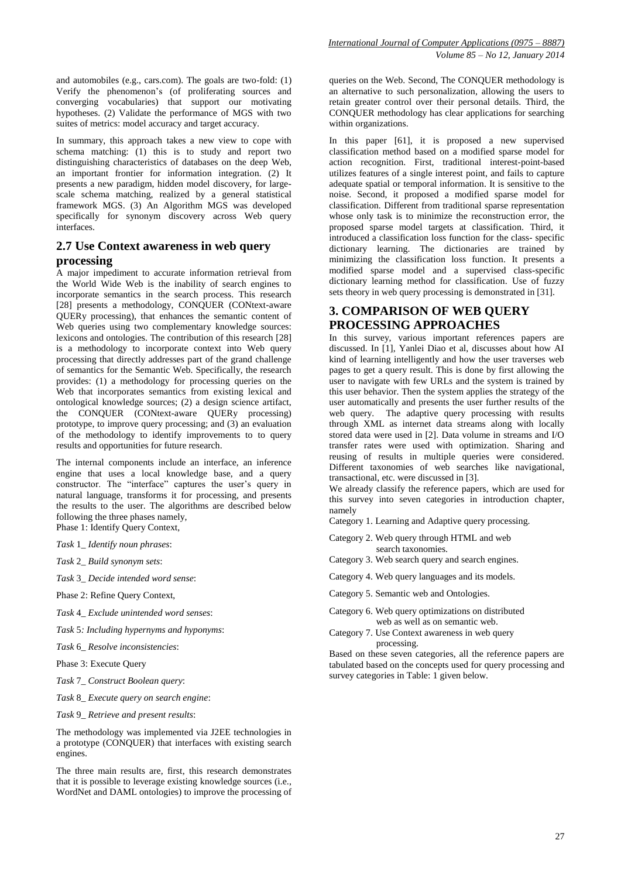and automobiles (e.g., cars.com). The goals are two-fold: (1) Verify the phenomenon's (of proliferating sources and converging vocabularies) that support our motivating hypotheses. (2) Validate the performance of MGS with two suites of metrics: model accuracy and target accuracy.

In summary, this approach takes a new view to cope with schema matching: (1) this is to study and report two distinguishing characteristics of databases on the deep Web, an important frontier for information integration. (2) It presents a new paradigm, hidden model discovery, for largescale schema matching, realized by a general statistical framework MGS. (3) An Algorithm MGS was developed specifically for synonym discovery across Web query interfaces.

# **2.7 Use Context awareness in web query processing**

A major impediment to accurate information retrieval from the World Wide Web is the inability of search engines to incorporate semantics in the search process. This research [28] presents a methodology, CONQUER (CONtext-aware QUERy processing), that enhances the semantic content of Web queries using two complementary knowledge sources: lexicons and ontologies. The contribution of this research [28] is a methodology to incorporate context into Web query processing that directly addresses part of the grand challenge of semantics for the Semantic Web. Specifically, the research provides: (1) a methodology for processing queries on the Web that incorporates semantics from existing lexical and ontological knowledge sources; (2) a design science artifact, the CONQUER (CONtext-aware QUERy processing) prototype, to improve query processing; and (3) an evaluation of the methodology to identify improvements to to query results and opportunities for future research.

The internal components include an interface, an inference engine that uses a local knowledge base, and a query constructor. The "interface" captures the user's query in natural language, transforms it for processing, and presents the results to the user. The algorithms are described below following the three phases namely, Phase 1: Identify Query Context,

- *Task* 1*\_ Identify noun phrases*:
- *Task* 2*\_ Build synonym sets*:
- *Task* 3*\_ Decide intended word sense*:
- Phase 2: Refine Query Context,
- *Task* 4*\_ Exclude unintended word senses*:
- *Task* 5*: Including hypernyms and hyponyms*:
- *Task* 6*\_ Resolve inconsistencies*:
- Phase 3: Execute Query
- *Task* 7*\_ Construct Boolean query*:
- *Task* 8*\_ Execute query on search engine*:
- *Task* 9*\_ Retrieve and present results*:

The methodology was implemented via J2EE technologies in a prototype (CONQUER) that interfaces with existing search engines.

The three main results are, first, this research demonstrates that it is possible to leverage existing knowledge sources (i.e., WordNet and DAML ontologies) to improve the processing of

queries on the Web. Second, The CONQUER methodology is an alternative to such personalization, allowing the users to retain greater control over their personal details. Third, the CONQUER methodology has clear applications for searching within organizations.

In this paper [61], it is proposed a new supervised classification method based on a modified sparse model for action recognition. First, traditional interest-point-based utilizes features of a single interest point, and fails to capture adequate spatial or temporal information. It is sensitive to the noise. Second, it proposed a modified sparse model for classification. Different from traditional sparse representation whose only task is to minimize the reconstruction error, the proposed sparse model targets at classification. Third, it introduced a classification loss function for the class- specific dictionary learning. The dictionaries are trained by minimizing the classification loss function. It presents a modified sparse model and a supervised class-specific dictionary learning method for classification. Use of fuzzy sets theory in web query processing is demonstrated in [31].

# **3. COMPARISON OF WEB QUERY PROCESSING APPROACHES**

In this survey, various important references papers are discussed. In [1], Yanlei Diao et al, discusses about how AI kind of learning intelligently and how the user traverses web pages to get a query result. This is done by first allowing the user to navigate with few URLs and the system is trained by this user behavior. Then the system applies the strategy of the user automatically and presents the user further results of the web query. The adaptive query processing with results through XML as internet data streams along with locally stored data were used in [2]. Data volume in streams and I/O transfer rates were used with optimization. Sharing and reusing of results in multiple queries were considered. Different taxonomies of web searches like navigational, transactional, etc. were discussed in [3].

We already classify the reference papers, which are used for this survey into seven categories in introduction chapter, namely

- Category 1. Learning and Adaptive query processing.
- Category 2. Web query through HTML and web search taxonomies.
- Category 3. Web search query and search engines.
- Category 4. Web query languages and its models.
- Category 5. Semantic web and Ontologies.
- Category 6. Web query optimizations on distributed web as well as on semantic web.
- Category 7. Use Context awareness in web query processing.

Based on these seven categories, all the reference papers are tabulated based on the concepts used for query processing and survey categories in Table: 1 given below.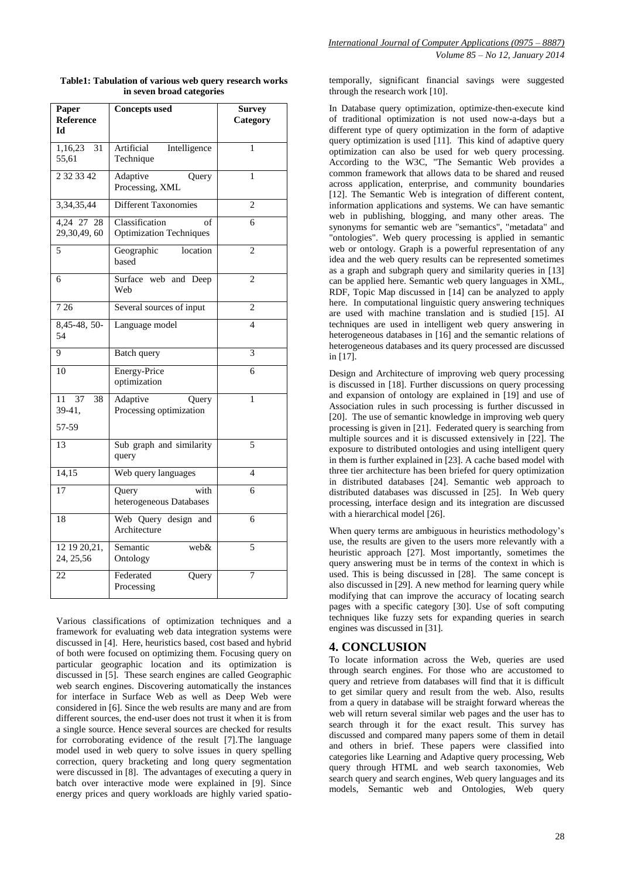| Paper<br><b>Reference</b><br>Ы    | <b>Concepts used</b>                                   | <b>Survey</b><br>Category |
|-----------------------------------|--------------------------------------------------------|---------------------------|
| 1,16,23<br>31<br>55,61            | Artificial<br>Intelligence<br>Technique                | 1                         |
| 2 3 2 3 3 4 2                     | Adaptive<br>Query<br>Processing, XML                   | 1                         |
| 3, 34, 35, 44                     | <b>Different Taxonomies</b>                            | $\overline{2}$            |
| 4,24 27<br>28<br>29,30,49,60      | Classification<br>of<br><b>Optimization Techniques</b> | 6                         |
| $\overline{5}$                    | Geographic<br>location<br>based                        | $\overline{2}$            |
| 6                                 | Surface web and Deep<br>Web                            | $\overline{2}$            |
| 7 2 6                             | Several sources of input                               | $\overline{c}$            |
| 8,45-48, 50-<br>54                | Language model                                         | $\overline{\mathcal{L}}$  |
| 9                                 | Batch query                                            | 3                         |
| 10                                | <b>Energy-Price</b><br>optimization                    | 6                         |
| 37<br>11<br>38<br>39-41,<br>57-59 | Adaptive<br>Query<br>Processing optimization           | 1                         |
| 13                                | Sub graph and similarity<br>query                      | 5                         |
| 14,15                             | Web query languages                                    | $\overline{\mathcal{L}}$  |
| 17                                | Query<br>with<br>heterogeneous Databases               | 6                         |
| 18                                | Web Query design and<br>Architecture                   | 6                         |
| 12 19 20, 21,<br>24, 25, 56       | web&<br>Semantic<br>Ontology                           | 5                         |
| 22                                | Federated<br>Query<br>Processing                       | $\overline{7}$            |

**Table1: Tabulation of various web query research works in seven broad categories**

Various classifications of optimization techniques and a framework for evaluating web data integration systems were discussed in [4]. Here, heuristics based, cost based and hybrid of both were focused on optimizing them. Focusing query on particular geographic location and its optimization is discussed in [5]. These search engines are called Geographic web search engines. Discovering automatically the instances for interface in Surface Web as well as Deep Web were considered in [6]. Since the web results are many and are from different sources, the end-user does not trust it when it is from a single source. Hence several sources are checked for results for corroborating evidence of the result [7].The language model used in web query to solve issues in query spelling correction, query bracketing and long query segmentation were discussed in [8]. The advantages of executing a query in batch over interactive mode were explained in [9]. Since energy prices and query workloads are highly varied spatiotemporally, significant financial savings were suggested through the research work [10].

In Database query optimization, optimize-then-execute kind of traditional optimization is not used now-a-days but a different type of query optimization in the form of adaptive query optimization is used [11]. This kind of adaptive query optimization can also be used for web query processing. According to the W3C, "The Semantic Web provides a common framework that allows data to be shared and reused across application, enterprise, and community boundaries [12]. The Semantic Web is integration of different content, information applications and systems. We can have semantic web in publishing, blogging, and many other areas. The synonyms for semantic web are "semantics", "metadata" and "ontologies". Web query processing is applied in semantic web or ontology. Graph is a powerful representation of any idea and the web query results can be represented sometimes as a graph and subgraph query and similarity queries in [13] can be applied here. Semantic web query languages in XML, RDF, Topic Map discussed in [14] can be analyzed to apply here. In computational linguistic query answering techniques are used with machine translation and is studied [15]. AI techniques are used in intelligent web query answering in heterogeneous databases in [16] and the semantic relations of heterogeneous databases and its query processed are discussed in [17].

Design and Architecture of improving web query processing is discussed in [18]. Further discussions on query processing and expansion of ontology are explained in [19] and use of Association rules in such processing is further discussed in [20]. The use of semantic knowledge in improving web query processing is given in [21]. Federated query is searching from multiple sources and it is discussed extensively in [22]. The exposure to distributed ontologies and using intelligent query in them is further explained in [23]. A cache based model with three tier architecture has been briefed for query optimization in distributed databases [24]. Semantic web approach to distributed databases was discussed in [25]. In Web query processing, interface design and its integration are discussed with a hierarchical model [26].

When query terms are ambiguous in heuristics methodology's use, the results are given to the users more relevantly with a heuristic approach [27]. Most importantly, sometimes the query answering must be in terms of the context in which is used. This is being discussed in [28]. The same concept is also discussed in [29]. A new method for learning query while modifying that can improve the accuracy of locating search pages with a specific category [30]. Use of soft computing techniques like fuzzy sets for expanding queries in search engines was discussed in [31].

# **4. CONCLUSION**

To locate information across the Web, queries are used through search engines. For those who are accustomed to query and retrieve from databases will find that it is difficult to get similar query and result from the web. Also, results from a query in database will be straight forward whereas the web will return several similar web pages and the user has to search through it for the exact result. This survey has discussed and compared many papers some of them in detail and others in brief. These papers were classified into categories like Learning and Adaptive query processing, Web query through HTML and web search taxonomies, Web search query and search engines, Web query languages and its models, Semantic web and Ontologies, Web query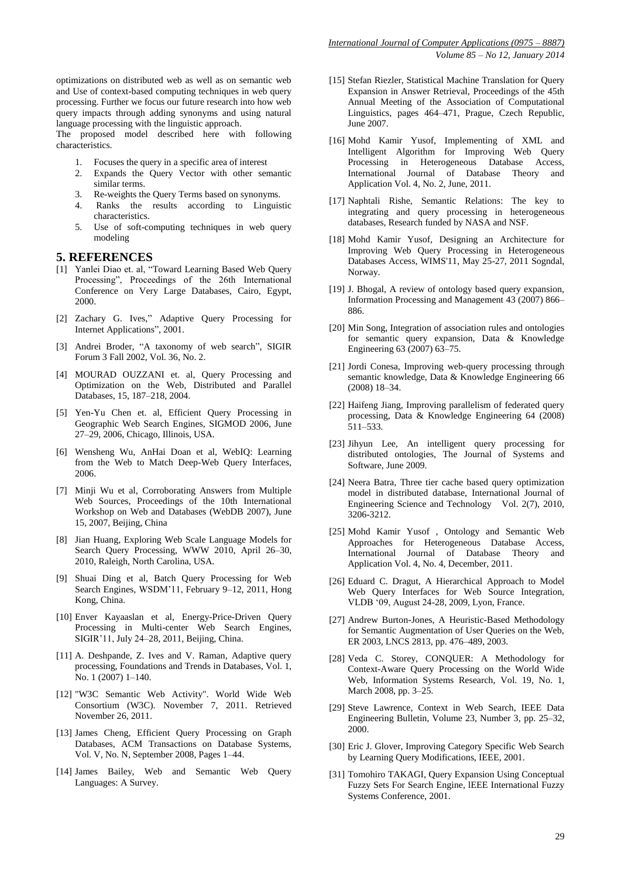optimizations on distributed web as well as on semantic web and Use of context-based computing techniques in web query processing. Further we focus our future research into how web query impacts through adding synonyms and using natural language processing with the linguistic approach.

The proposed model described here with following characteristics.

- 1. Focuses the query in a specific area of interest<br>2. Expands the Ouery Vector with other ser
- Expands the Query Vector with other semantic similar terms.
- 3. Re-weights the Query Terms based on synonyms.
- 4. Ranks the results according to Linguistic characteristics.
- 5. Use of soft-computing techniques in web query modeling

#### **5. REFERENCES**

- [1] Yanlei Diao et. al, "Toward Learning Based Web Query Processing", Proceedings of the 26th International Conference on Very Large Databases, Cairo, Egypt, 2000.
- [2] Zachary G. Ives," Adaptive Query Processing for Internet Applications", 2001.
- [3] Andrei Broder, "A taxonomy of web search", SIGIR Forum 3 Fall 2002, Vol. 36, No. 2.
- [4] MOURAD OUZZANI et. al, Query Processing and Optimization on the Web, Distributed and Parallel Databases, 15, 187–218, 2004.
- [5] Yen-Yu Chen et. al, Efficient Query Processing in Geographic Web Search Engines, SIGMOD 2006, June 27–29, 2006, Chicago, Illinois, USA.
- [6] Wensheng Wu, AnHai Doan et al, WebIQ: Learning from the Web to Match Deep-Web Query Interfaces, 2006.
- [7] Minji Wu et al, Corroborating Answers from Multiple Web Sources, Proceedings of the 10th International Workshop on Web and Databases (WebDB 2007), June 15, 2007, Beijing, China
- [8] Jian Huang, Exploring Web Scale Language Models for Search Query Processing, WWW 2010, April 26–30, 2010, Raleigh, North Carolina, USA.
- [9] Shuai Ding et al, Batch Query Processing for Web Search Engines, WSDM'11, February 9–12, 2011, Hong Kong, China.
- [10] Enver Kayaaslan et al, Energy-Price-Driven Query Processing in Multi-center Web Search Engines, SIGIR'11, July 24–28, 2011, Beijing, China.
- [11] A. Deshpande, Z. Ives and V. Raman, Adaptive query processing, Foundations and Trends in Databases, Vol. 1, No. 1 (2007) 1–140.
- [12] "W3C Semantic Web Activity". World Wide Web Consortium (W3C). November 7, 2011. Retrieved November 26, 2011.
- [13] James Cheng, Efficient Query Processing on Graph Databases, ACM Transactions on Database Systems, Vol. V, No. N, September 2008, Pages 1–44.
- [14] James Bailey, Web and Semantic Web Query Languages: A Survey.
- [15] Stefan Riezler, Statistical Machine Translation for Query Expansion in Answer Retrieval, Proceedings of the 45th Annual Meeting of the Association of Computational Linguistics, pages 464–471, Prague, Czech Republic, June 2007.
- [16] Mohd Kamir Yusof, Implementing of XML and Intelligent Algorithm for Improving Web Query Processing in Heterogeneous Database Access, International Journal of Database Theory and Application Vol. 4, No. 2, June, 2011.
- [17] Naphtali Rishe, Semantic Relations: The key to integrating and query processing in heterogeneous databases, Research funded by NASA and NSF.
- [18] Mohd Kamir Yusof, Designing an Architecture for Improving Web Query Processing in Heterogeneous Databases Access, WIMS'11, May 25-27, 2011 Sogndal, Norway.
- [19] J. Bhogal, A review of ontology based query expansion, Information Processing and Management 43 (2007) 866– 886.
- [20] Min Song, Integration of association rules and ontologies for semantic query expansion, Data & Knowledge Engineering 63 (2007) 63–75.
- [21] Jordi Conesa, Improving web-query processing through semantic knowledge, Data & Knowledge Engineering 66 (2008) 18–34.
- [22] Haifeng Jiang, Improving parallelism of federated query processing, Data & Knowledge Engineering 64 (2008) 511–533.
- [23] Jihyun Lee, An intelligent query processing for distributed ontologies, The Journal of Systems and Software, June 2009.
- [24] Neera Batra, Three tier cache based query optimization model in distributed database, International Journal of Engineering Science and Technology Vol. 2(7), 2010, 3206-3212.
- [25] Mohd Kamir Yusof , Ontology and Semantic Web Approaches for Heterogeneous Database Access, International Journal of Database Theory and Application Vol. 4, No. 4, December, 2011.
- [26] Eduard C. Dragut, A Hierarchical Approach to Model Web Query Interfaces for Web Source Integration, VLDB '09, August 24-28, 2009, Lyon, France.
- [27] Andrew Burton-Jones, A Heuristic-Based Methodology for Semantic Augmentation of User Queries on the Web, ER 2003, LNCS 2813, pp. 476–489, 2003.
- [28] Veda C. Storey, CONQUER: A Methodology for Context-Aware Query Processing on the World Wide Web, Information Systems Research, Vol. 19, No. 1, March 2008, pp. 3–25.
- [29] Steve Lawrence, Context in Web Search, IEEE Data Engineering Bulletin, Volume 23, Number 3, pp. 25–32, 2000.
- [30] Eric J. Glover, Improving Category Specific Web Search by Learning Query Modifications, IEEE, 2001.
- [31] Tomohiro TAKAGI, Query Expansion Using Conceptual Fuzzy Sets For Search Engine, lEEE International Fuzzy Systems Conference, 2001.